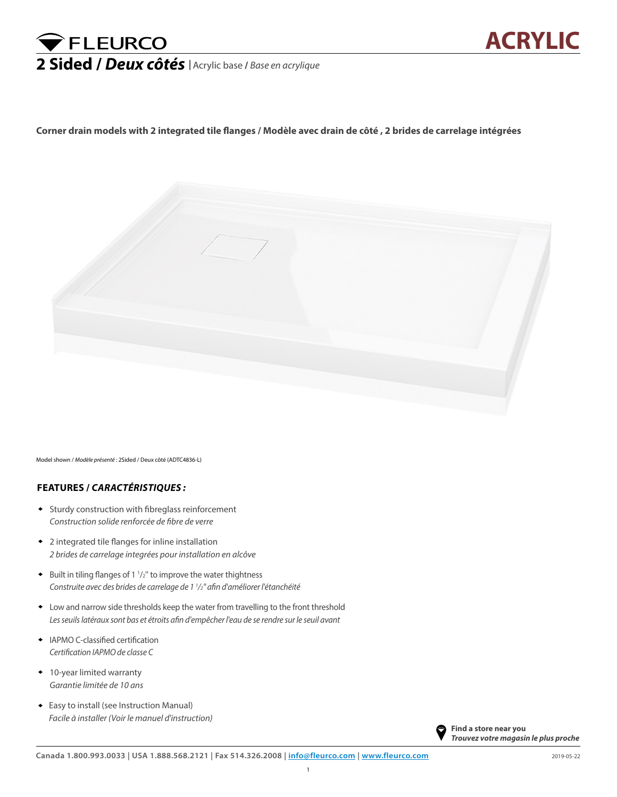## FLEURCO **2 Sided /** *Deux côtés <sup>|</sup>* Acrylic base **/** *Base en acrylique*

**Corner drain models with 2 integrated tile flanges / Modèle avec drain de côté , 2 brides de carrelage intégrées**



Model shown / *Modèle présenté* : 2Sided / Deux côté (ADTC4836-L)

## **FEATURES /** *CARACTÉRISTIQUES :*

- ♦ Sturdy construction with fibreglass reinforcement *Construction solide renforcée de fibre de verre*
- 2 integrated tile flanges for inline installation ♦ *2 brides de carrelage integrées pour installation en alcôve*
- $\bullet$  Built in tiling flanges of 1  $1/2$ " to improve the water thightness *Construite avec des brides de carrelage de 1 1 /2'' afin d'améliorer l'étanchéité*
- Low and narrow side thresholds keep the water from travelling to the front threshold ♦ *Les seuils latéraux sont bas et étroits afin d'empêcher l'eau de se rendre sur le seuil avant*
- IAPMO C-classified certification ♦ *Certification IAPMO de classe C*
- 10-year limited warranty *Garantie limitée de 10 ans Facile à installer (Voir le manuel d'instruction)*
- Easy to install (see Instruction Manual) ♦ *Facile à installer (Voir le manuel d'instruction)*

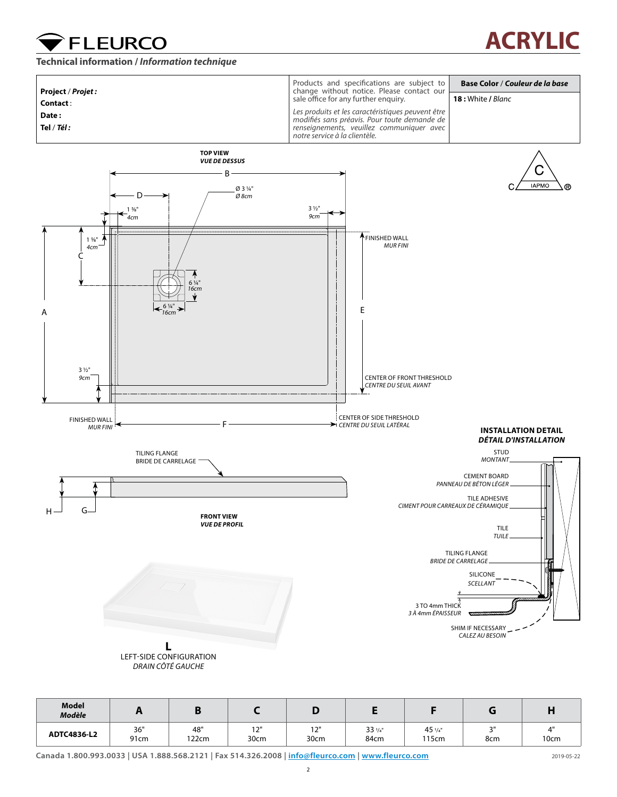**Technical information /** *Information technique*

**FLEURCO** 

## Products and specifications are subject to **Base Color** / *Couleur de la base* **Project** / *Projet :* change without notice. Please contact our sale office for any further enquiry. **18 :** White **/** *Blanc* **Contact** : *Les produits et les caractéristiques peuvent être*  **Date :**  *modifiés sans préavis. Pour toute demande de*  **Tel** / *Tél : renseignements, veuillez communiquer avec notre service à la clientèle.* **TOP VIEW** *VUE DE DESSUS* Ć B **IAPMO**  $^{\circ}$ Ø 3 1/4" D *Ø 8cm* 3 1/2"  $1 \frac{5}{8}$ " *4cm 9cm* FINISHED WALL  $1 \frac{5}{8}$ " *MUR FINI 4cm* C 6 1/4" *16cm* 6 1/4" A  $\left|\left|\right|$   $\left|\left|\right| \right|$   $\left|\left|\right| \right|$   $\left|\left|\right| \right|$   $\left|\left|\right| \right|$   $\left|\left|\right| \right|$   $\left|\left|\right|$   $\left|\right|$   $\left|\left|\right|$   $\left|\right|$   $\left|\left|\right| \right|$   $\left|\left|\right|$   $\left|\left|\right| \right|$   $\left|\left|\right| \right|$   $\left|\left|\right|$   $\left|\left|\right| \right|$   $\left|\left|\right| \right|$   $\left|\left|\right|$   $\left|\left|\right| \right|$  *16cm*3 1/2" *9cm* CENTER OF FRONT THRESHOLD *CENTRE DU SEUIL AVANT* CENTER OF SIDE THRESHOLD FINISHED WALL F *CENTRE DU SEUIL LATÉRAL MUR FINI* **INSTALLATION DETAIL** *DÉTAIL D'INSTALLATION* STUD TILING FLANGE *MONTANT* BRIDE DE CARRELAGE CEMENT BOARD *PANNEAU DE BÉTON LÉGER* TILE ADHESIVE *CIMENT POUR CARREAUX DE CÉRAMIQUE*  $_{\rm H}$  G **FRONT VIEW** *VUE DE PROFIL* TILE *TUILE* TILING FLANGE *BRIDE DE CARRELAGE*  SILICONE *SCELLANT* 3 TO 4mm THICK *3 À 4mm ÉPAISSEUR* SHIM IF NECESSARY *CALEZ AU BESOIN* **L** LEFT-SIDE CONFIGURATION *DRAIN CÔTÉ GAUCHE*

| Model<br><b>Modèle</b> |             |              |             |                    |                         |                          |               |      |
|------------------------|-------------|--------------|-------------|--------------------|-------------------------|--------------------------|---------------|------|
| ADTC4836-L2            | 36"<br>91cm | 48"<br>122cm | 12"<br>30cm | 121<br>1 Z<br>30cm | $33\frac{1}{4}$<br>84cm | $45\frac{1}{4}$<br>115cm | $\sim$<br>8cm | 10cm |

**Canada 1.800.993.0033 | USA 1.888.568.2121 | Fax 514.326.2008 | info@fleurco.com | [www.fleurco.com](http://www.fleurco.com)** 2019-05-22

**ACRYLIC**